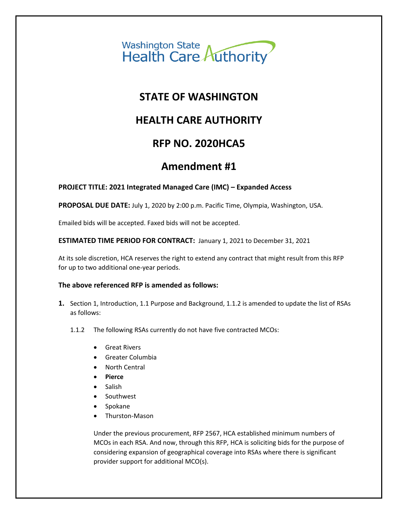

### **STATE OF WASHINGTON**

## **HEALTH CARE AUTHORITY**

### **RFP NO. 2020HCA5**

### **Amendment #1**

### **PROJECT TITLE: 2021 Integrated Managed Care (IMC) – Expanded Access**

**PROPOSAL DUE DATE:** July 1, 2020 by 2:00 p.m. Pacific Time, Olympia, Washington, USA.

Emailed bids will be accepted. Faxed bids will not be accepted.

#### **ESTIMATED TIME PERIOD FOR CONTRACT:** January 1, 2021 to December 31, 2021

At its sole discretion, HCA reserves the right to extend any contract that might result from this RFP for up to two additional one-year periods.

#### **The above referenced RFP is amended as follows:**

- **1.** Section 1, Introduction, 1.1 Purpose and Background, 1.1.2 is amended to update the list of RSAs as follows:
	- 1.1.2 The following RSAs currently do not have five contracted MCOs:
		- Great Rivers
		- Greater Columbia
		- North Central
		- **Pierce**
		- Salish
		- Southwest
		- Spokane
		- Thurston-Mason

Under the previous procurement, RFP 2567, HCA established minimum numbers of MCOs in each RSA. And now, through this RFP, HCA is soliciting bids for the purpose of considering expansion of geographical coverage into RSAs where there is significant provider support for additional MCO(s).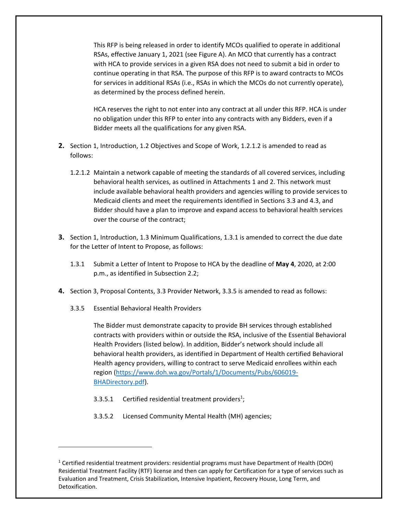This RFP is being released in order to identify MCOs qualified to operate in additional RSAs, effective January 1, 2021 (see Figure A). An MCO that currently has a contract with HCA to provide services in a given RSA does not need to submit a bid in order to continue operating in that RSA. The purpose of this RFP is to award contracts to MCOs for services in additional RSAs (i.e., RSAs in which the MCOs do not currently operate), as determined by the process defined herein.

HCA reserves the right to not enter into any contract at all under this RFP. HCA is under no obligation under this RFP to enter into any contracts with any Bidders, even if a Bidder meets all the qualifications for any given RSA.

- **2.** Section 1, Introduction, 1.2 Objectives and Scope of Work, 1.2.1.2 is amended to read as follows:
	- 1.2.1.2 Maintain a network capable of meeting the standards of all covered services, including behavioral health services, as outlined in Attachments 1 and 2. This network must include available behavioral health providers and agencies willing to provide services to Medicaid clients and meet the requirements identified in Sections 3.3 and 4.3, and Bidder should have a plan to improve and expand access to behavioral health services over the course of the contract;
- **3.** Section 1, Introduction, 1.3 Minimum Qualifications, 1.3.1 is amended to correct the due date for the Letter of Intent to Propose, as follows:
	- 1.3.1 Submit a Letter of Intent to Propose to HCA by the deadline of **May 4**, 2020, at 2:00 p.m., as identified in Subsection 2.2;
- **4.** Section 3, Proposal Contents, 3.3 Provider Network, 3.3.5 is amended to read as follows:
	- 3.3.5 Essential Behavioral Health Providers

 $\overline{\phantom{a}}$ 

The Bidder must demonstrate capacity to provide BH services through established contracts with providers within or outside the RSA, inclusive of the Essential Behavioral Health Providers (listed below). In addition, Bidder's network should include all behavioral health providers, as identified in Department of Health certified Behavioral Health agency providers, willing to contract to serve Medicaid enrollees within each [region \(https://www.doh.wa.gov/Portals/1/Documents/Pubs/606019-](https://www.doh.wa.gov/Portals/1/Documents/Pubs/606019-BHADirectory.pdf) BHADirectory.pdf).

- 3.3.5.1 Certified residential treatment providers<sup>1</sup>;
- 3.3.5.2 Licensed Community Mental Health (MH) agencies;

<sup>1</sup> Certified residential treatment providers: residential programs must have Department of Health (DOH) Residential Treatment Facility (RTF) license and then can apply for Certification for a type of services such as Evaluation and Treatment, Crisis Stabilization, Intensive Inpatient, Recovery House, Long Term, and Detoxification.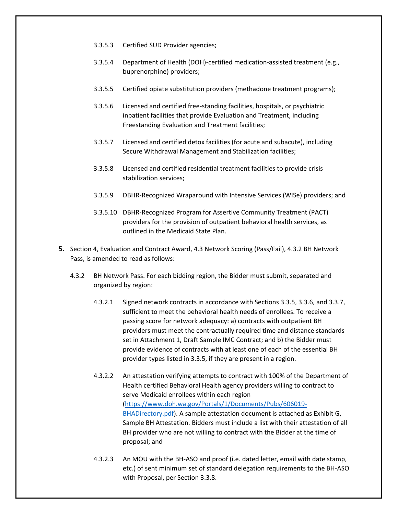- 3.3.5.3 Certified SUD Provider agencies;
- 3.3.5.4 Department of Health (DOH)-certified medication-assisted treatment (e.g., buprenorphine) providers;
- 3.3.5.5 Certified opiate substitution providers (methadone treatment programs);
- 3.3.5.6 Licensed and certified free-standing facilities, hospitals, or psychiatric inpatient facilities that provide Evaluation and Treatment, including Freestanding Evaluation and Treatment facilities;
- 3.3.5.7 Licensed and certified detox facilities (for acute and subacute), including Secure Withdrawal Management and Stabilization facilities;
- 3.3.5.8 Licensed and certified residential treatment facilities to provide crisis stabilization services;
- 3.3.5.9 DBHR-Recognized Wraparound with Intensive Services (WISe) providers; and
- 3.3.5.10 DBHR-Recognized Program for Assertive Community Treatment (PACT) providers for the provision of outpatient behavioral health services, as outlined in the Medicaid State Plan.
- **5.** Section 4, Evaluation and Contract Award, 4.3 Network Scoring (Pass/Fail), 4.3.2 BH Network Pass, is amended to read as follows:
	- 4.3.2 BH Network Pass. For each bidding region, the Bidder must submit, separated and organized by region:
		- 4.3.2.1 Signed network contracts in accordance with Sections 3.3.5, 3.3.6, and 3.3.7, sufficient to meet the behavioral health needs of enrollees. To receive a passing score for network adequacy: a) contracts with outpatient BH providers must meet the contractually required time and distance standards set in Attachment 1, Draft Sample IMC Contract; and b) the Bidder must provide evidence of contracts with at least one of each of the essential BH provider types listed in 3.3.5, if they are present in a region.
		- 4.3.2.2 An attestation verifying attempts to contract with 100% of the Department of [Health certified Behavioral Health agency providers willing to contract to](https://www.doh.wa.gov/Portals/1/Documents/Pubs/606019-BHADirectory.pdf)  [serve Medicaid en](https://www.doh.wa.gov/Portals/1/Documents/Pubs/606019-BHADirectory.pdf)rollees within each region (https://www.doh.wa.gov/Portals/1/Documents/Pubs/606019- BHADirectory.pdf). A sample attestation document is attached as Exhibit G, Sample BH Attestation. Bidders must include a list with their attestation of all BH provider who are not willing to contract with the Bidder at the time of proposal; and
		- 4.3.2.3 An MOU with the BH-ASO and proof (i.e. dated letter, email with date stamp, etc.) of sent minimum set of standard delegation requirements to the BH-ASO with Proposal, per Section 3.3.8.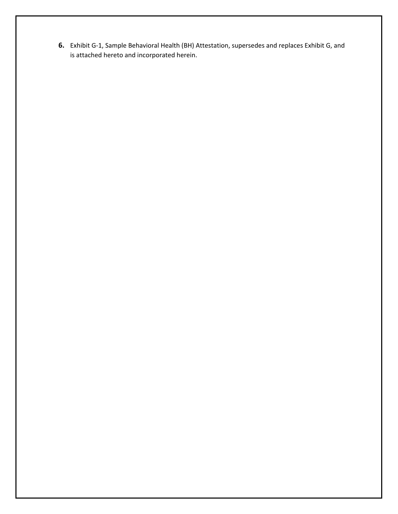**6.** Exhibit G-1, Sample Behavioral Health (BH) Attestation, supersedes and replaces Exhibit G, and is attached hereto and incorporated herein.